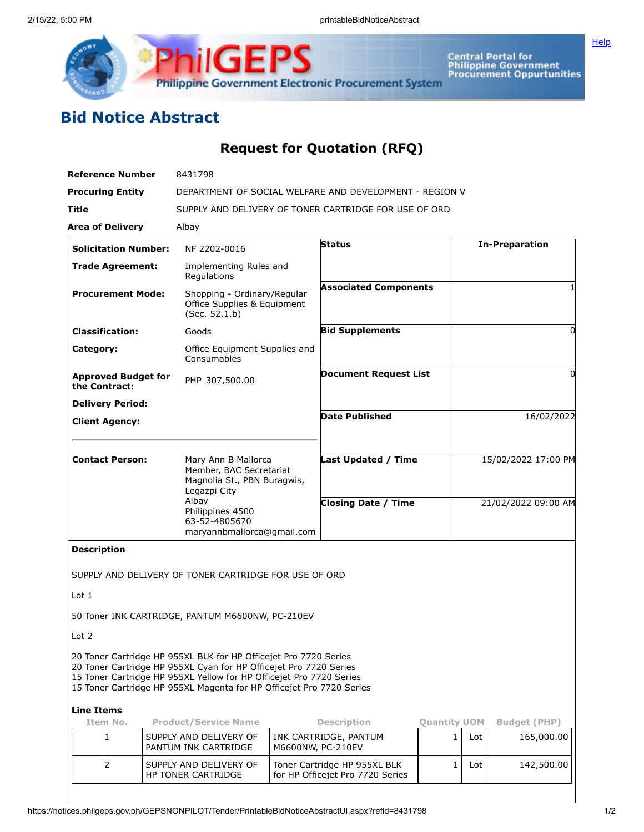

Central Portal for<br>Philippine Government<br>Procurement Oppurtunities

## **Bid Notice Abstract**

## **Request for Quotation (RFQ)**

| <b>Reference Number</b>                                       | 8431798                                                                                                                                                                                                                                                                              |                                                         |                              |            |                       |  |
|---------------------------------------------------------------|--------------------------------------------------------------------------------------------------------------------------------------------------------------------------------------------------------------------------------------------------------------------------------------|---------------------------------------------------------|------------------------------|------------|-----------------------|--|
| <b>Procuring Entity</b>                                       |                                                                                                                                                                                                                                                                                      | DEPARTMENT OF SOCIAL WELFARE AND DEVELOPMENT - REGION V |                              |            |                       |  |
| Title                                                         |                                                                                                                                                                                                                                                                                      | SUPPLY AND DELIVERY OF TONER CARTRIDGE FOR USE OF ORD   |                              |            |                       |  |
| <b>Area of Delivery</b>                                       | Albay                                                                                                                                                                                                                                                                                |                                                         |                              |            |                       |  |
| <b>Solicitation Number:</b>                                   | NF 2202-0016                                                                                                                                                                                                                                                                         | Status                                                  |                              |            | <b>In-Preparation</b> |  |
| <b>Trade Agreement:</b>                                       | Implementing Rules and<br>Regulations                                                                                                                                                                                                                                                |                                                         |                              |            |                       |  |
| <b>Procurement Mode:</b>                                      | Shopping - Ordinary/Regular<br>Office Supplies & Equipment<br>(Sec. 52.1.b)                                                                                                                                                                                                          | <b>Associated Components</b>                            |                              |            | 1                     |  |
| <b>Classification:</b>                                        | Goods                                                                                                                                                                                                                                                                                | <b>Bid Supplements</b>                                  |                              |            | 0                     |  |
| Category:                                                     | Office Equipment Supplies and<br>Consumables                                                                                                                                                                                                                                         |                                                         |                              |            |                       |  |
| <b>Approved Budget for</b><br>PHP 307,500.00<br>the Contract: |                                                                                                                                                                                                                                                                                      |                                                         | <b>Document Request List</b> |            | 0                     |  |
| <b>Delivery Period:</b>                                       |                                                                                                                                                                                                                                                                                      |                                                         |                              |            |                       |  |
| <b>Client Agency:</b>                                         |                                                                                                                                                                                                                                                                                      | <b>Date Published</b>                                   |                              | 16/02/2022 |                       |  |
| <b>Contact Person:</b>                                        | Mary Ann B Mallorca<br>Member, BAC Secretariat<br>Magnolia St., PBN Buragwis,<br>Legazpi City                                                                                                                                                                                        |                                                         | <b>Last Updated / Time</b>   |            | 15/02/2022 17:00 PM   |  |
|                                                               | Albay<br>Philippines 4500<br>63-52-4805670<br>maryannbmallorca@gmail.com                                                                                                                                                                                                             |                                                         | <b>Closing Date / Time</b>   |            | 21/02/2022 09:00 AM   |  |
| <b>Description</b>                                            |                                                                                                                                                                                                                                                                                      |                                                         |                              |            |                       |  |
|                                                               | SUPPLY AND DELIVERY OF TONER CARTRIDGE FOR USE OF ORD                                                                                                                                                                                                                                |                                                         |                              |            |                       |  |
| Lot <sub>1</sub>                                              |                                                                                                                                                                                                                                                                                      |                                                         |                              |            |                       |  |
|                                                               | 50 Toner INK CARTRIDGE, PANTUM M6600NW, PC-210EV                                                                                                                                                                                                                                     |                                                         |                              |            |                       |  |
| Lot 2                                                         |                                                                                                                                                                                                                                                                                      |                                                         |                              |            |                       |  |
|                                                               | 20 Toner Cartridge HP 955XL BLK for HP Officejet Pro 7720 Series<br>20 Toner Cartridge HP 955XL Cyan for HP Officejet Pro 7720 Series<br>15 Toner Cartridge HP 955XL Yellow for HP Officejet Pro 7720 Series<br>15 Toner Cartridge HP 955XL Magenta for HP Officejet Pro 7720 Series |                                                         |                              |            |                       |  |
| <b>Line Items</b><br>Item No.                                 | <b>Product/Service Name</b>                                                                                                                                                                                                                                                          | <b>Description</b>                                      | <b>Quantity UOM</b>          |            | <b>Budget (PHP)</b>   |  |
| 1                                                             | SUPPLY AND DELIVERY OF<br>PANTUM INK CARTRIDGE                                                                                                                                                                                                                                       | INK CARTRIDGE, PANTUM<br>M6600NW, PC-210EV              | $\mathbf{1}$                 | Lot        | 165,000.00            |  |
| $\overline{2}$                                                | SUPPLY AND DELIVERY OF                                                                                                                                                                                                                                                               | Toner Cartridge HP 955XL BLK                            | $\mathbf{1}$                 | Lot        | 142,500.00            |  |

for HP Officejet Pro 7720 Series

HP TONER CARTRIDGE